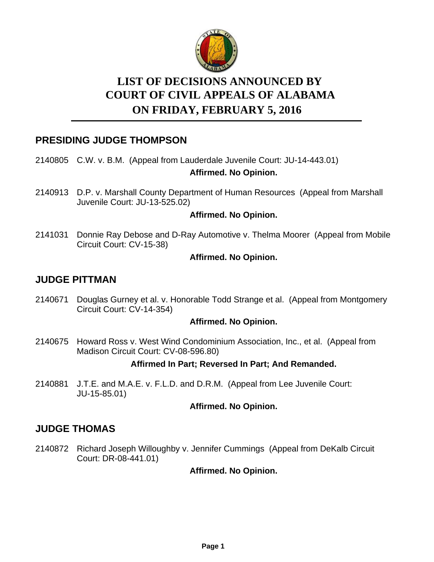

# **LIST OF DECISIONS ANNOUNCED BY ON FRIDAY, FEBRUARY 5, 2016 COURT OF CIVIL APPEALS OF ALABAMA**

# **PRESIDING JUDGE THOMPSON**

2140805 C.W. v. B.M. (Appeal from Lauderdale Juvenile Court: JU-14-443.01)

# **Affirmed. No Opinion.**

2140913 D.P. v. Marshall County Department of Human Resources (Appeal from Marshall Juvenile Court: JU-13-525.02)

# **Affirmed. No Opinion.**

2141031 Donnie Ray Debose and D-Ray Automotive v. Thelma Moorer (Appeal from Mobile Circuit Court: CV-15-38)

### **Affirmed. No Opinion.**

# **JUDGE PITTMAN**

2140671 Douglas Gurney et al. v. Honorable Todd Strange et al. (Appeal from Montgomery Circuit Court: CV-14-354)

### **Affirmed. No Opinion.**

2140675 Howard Ross v. West Wind Condominium Association, Inc., et al. (Appeal from Madison Circuit Court: CV-08-596.80)

### **Affirmed In Part; Reversed In Part; And Remanded.**

2140881 J.T.E. and M.A.E. v. F.L.D. and D.R.M. (Appeal from Lee Juvenile Court: JU-15-85.01)

### **Affirmed. No Opinion.**

# **JUDGE THOMAS**

2140872 Richard Joseph Willoughby v. Jennifer Cummings (Appeal from DeKalb Circuit Court: DR-08-441.01)

# **Affirmed. No Opinion.**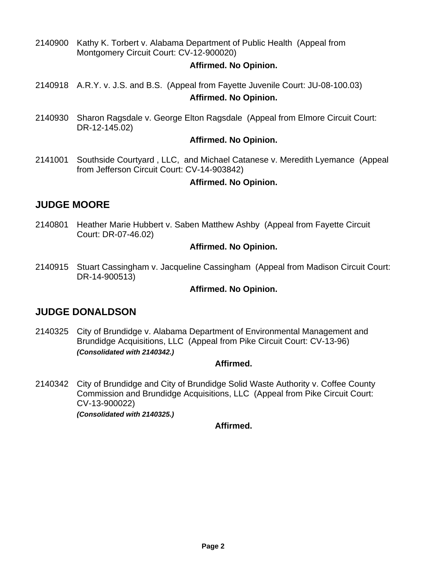2140900 Kathy K. Torbert v. Alabama Department of Public Health (Appeal from Montgomery Circuit Court: CV-12-900020)

### **Affirmed. No Opinion.**

- 2140918 A.R.Y. v. J.S. and B.S. (Appeal from Fayette Juvenile Court: JU-08-100.03) **Affirmed. No Opinion.**
- 2140930 Sharon Ragsdale v. George Elton Ragsdale (Appeal from Elmore Circuit Court: DR-12-145.02)

### **Affirmed. No Opinion.**

2141001 Southside Courtyard, LLC, and Michael Catanese v. Meredith Lyemance (Appeal from Jefferson Circuit Court: CV-14-903842)

### **Affirmed. No Opinion.**

# **JUDGE MOORE**

2140801 Heather Marie Hubbert v. Saben Matthew Ashby (Appeal from Fayette Circuit Court: DR-07-46.02)

### **Affirmed. No Opinion.**

2140915 Stuart Cassingham v. Jacqueline Cassingham (Appeal from Madison Circuit Court: DR-14-900513)

### **Affirmed. No Opinion.**

# **JUDGE DONALDSON**

2140325 City of Brundidge v. Alabama Department of Environmental Management and Brundidge Acquisitions, LLC (Appeal from Pike Circuit Court: CV-13-96) *(Consolidated with 2140342.)*

### **Affirmed.**

2140342 City of Brundidge and City of Brundidge Solid Waste Authority v. Coffee County Commission and Brundidge Acquisitions, LLC (Appeal from Pike Circuit Court: CV-13-900022)

*(Consolidated with 2140325.)*

### **Affirmed.**